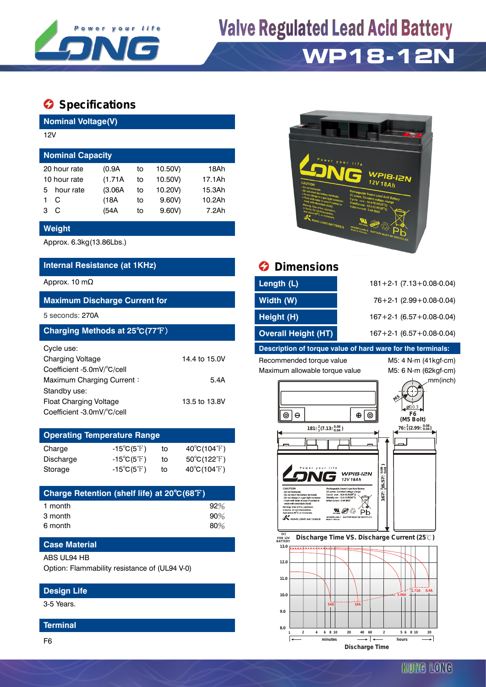

# **Valve Regulated Lead Acid Battery**

### **WP18-12N**

### $\bullet$  Specifications

**Nominal Voltage(V)**

| 12V                     |              |         |    |         |        |  |  |  |  |  |
|-------------------------|--------------|---------|----|---------|--------|--|--|--|--|--|
| <b>Nominal Capacity</b> |              |         |    |         |        |  |  |  |  |  |
|                         | 20 hour rate | (0.9A)  | to | 10.50V) | 18Ah   |  |  |  |  |  |
| 10 hour rate            |              | (1.71A) | to | 10.50V) | 17.1Ah |  |  |  |  |  |
| 5                       | hour rate    | (3.06A) | to | 10.20V) | 15.3Ah |  |  |  |  |  |
|                         | С            | (18A    | to | 9.60V   | 10.2Ah |  |  |  |  |  |
| з                       | С            | (54A    | to | 9.60V   | 7.2Ah  |  |  |  |  |  |

#### **Weight**

Approx. 6.3kg(13.86Lbs.)

#### **Internal Resistance (at 1KHz) Dimensions**

#### **Maximum Discharge Current for**

| Charging Methods at 25°C(77°F) |               |
|--------------------------------|---------------|
| Cycle use:                     |               |
| <b>Charging Voltage</b>        | 14.4 to 15.0V |
| Coefficient -5.0mV/°C/cell     |               |
| Maximum Charging Current:      | 5.4A          |
| Standby use:                   |               |
| Float Charging Voltage         | 13.5 to 13.8V |
| Coefficient -3.0mV/°C/cell     |               |

| <b>Operating Temperature Range</b> |                            |    |                             |  |  |  |  |  |
|------------------------------------|----------------------------|----|-----------------------------|--|--|--|--|--|
| Charge                             | $-15^{\circ}C(5^{\circ}F)$ | to | $40^{\circ}C(104^{\circ}F)$ |  |  |  |  |  |
| Discharge                          | $-15^{\circ}C(5^{\circ}F)$ | t٥ | $50^{\circ}C(122^{\circ}F)$ |  |  |  |  |  |
| Storage                            | $-15^{\circ}C(5^{\circ}F)$ | to | $40^{\circ}C(104^{\circ}F)$ |  |  |  |  |  |

| Charge Retention (shelf life) at 20°C(68°F) |     |
|---------------------------------------------|-----|
| 1 month                                     | 92% |
| 3 month                                     | 90% |
| 6 month                                     | 80% |

#### **Case Material**

ABS UL94 HB

Option: Flammability resistance of (UL94 V-0)

#### **Design Life**

3-5 Years.

#### **Terminal**



|                                      | <b>W</b> PINGHOIVIIS       |                                    |  |
|--------------------------------------|----------------------------|------------------------------------|--|
| Approx. 10 m $\Omega$                | Length (L)                 | $181 + 2 - 1$ (7.13 + 0.08 - 0.04) |  |
| <b>Maximum Discharge Current for</b> | Width (W)                  | $76+2-1$ (2.99 + 0.08-0.04)        |  |
| 5 seconds: 270A                      | Height (H)                 | $167 + 2 - 1$ (6.57 + 0.08 - 0.04) |  |
| Charging Methods at 25°C(77°F)       | <b>Overall Height (HT)</b> | $167 + 2 - 1$ (6.57 + 0.08 - 0.04) |  |

#### **Description of torque value of hard ware for the terminals:**

#### Recommended torque value M5: 4 N-m (41kgf-cm) Maximum allowable torque value M5: 6 N-m (62kgf-cm)